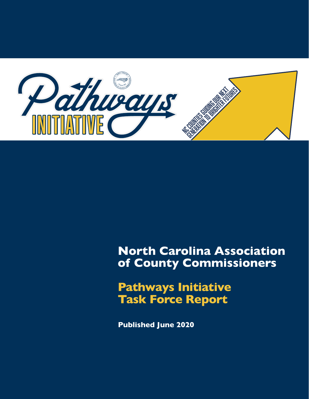

# **North Carolina Association of County Commissioners**

**Pathways Initiative Task Force Report**

**Published June 2020**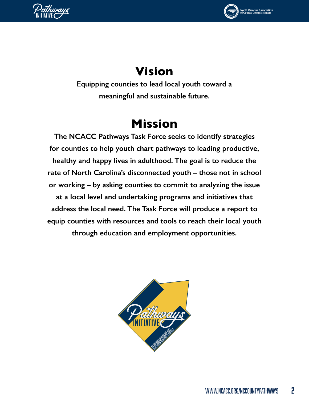



# rth Carolina Associa<mark>t</mark><br>County Commissione

# **Vision**

**Equipping counties to lead local youth toward a meaningful and sustainable future.**

# **Mission**

**The NCACC Pathways Task Force seeks to identify strategies for counties to help youth chart pathways to leading productive, healthy and happy lives in adulthood. The goal is to reduce the rate of North Carolina's disconnected youth – those not in school or working – by asking counties to commit to analyzing the issue at a local level and undertaking programs and initiatives that address the local need. The Task Force will produce a report to equip counties with resources and tools to reach their local youth through education and employment opportunities.** 

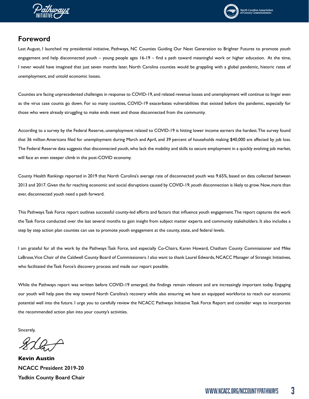



## **Foreword**

Last August, I launched my presidential initiative, Pathways, NC Counties Guiding Our Next Generation to Brighter Futures to promote youth engagement and help disconnected youth – young people ages 16-19 – find a path toward meaningful work or higher education. At the time, I never would have imagined that just seven months later, North Carolina counties would be grappling with a global pandemic, historic rates of unemployment, and untold economic losses.

Counties are facing unprecedented challenges in response to COVID-19, and related revenue losses and unemployment will continue to linger even as the virus case counts go down. For so many counties, COVID-19 exacerbates vulnerabilities that existed before the pandemic, especially for those who were already struggling to make ends meet and those disconnected from the community.

According to a survey by the Federal Reserve, unemployment related to COVID-19 is hitting lower income earners the hardest. The survey found that 36 million Americans filed for unemployment during March and April, and 39 percent of households making \$40,000 are affected by job loss. The Federal Reserve data suggests that disconnected youth, who lack the mobility and skills to secure employment in a quickly evolving job market, will face an even steeper climb in the post-COVID economy.

County Health Rankings reported in 2019 that North Carolina's average rate of disconnected youth was 9.65%, based on data collected between 2013 and 2017. Given the far reaching economic and social disruptions caused by COVID-19, youth disconnection is likely to grow. Now, more than ever, disconnected youth need a path forward.

This Pathways Task Force report outlines successful county-led efforts and factors that influence youth engagement. The report captures the work the Task Force conducted over the last several months to gain insight from subject matter experts and community stakeholders. It also includes a step by step action plan counties can use to promote youth engagement at the county, state, and federal levels.

I am grateful for all the work by the Pathways Task Force, and especially Co-Chairs, Karen Howard, Chatham County Commissioner and Mike LaBrose, Vice Chair of the Caldwell County Board of Commissioners. I also want to thank Laurel Edwards, NCACC Manager of Strategic Initiatives, who facilitated the Task Force's discovery process and made our report possible.

While the Pathways report was written before COVID-19 emerged, the findings remain relevant and are increasingly important today. Engaging our youth will help pave the way toward North Carolina's recovery while also ensuring we have an equipped workforce to reach our economic potential well into the future. I urge you to carefully review the NCACC Pathways Initiative Task Force Report and consider ways to incorporate the recommended action plan into your county's activities.

Sincerely,

**Kevin Austin NCACC President 2019-20 Yadkin County Board Chair**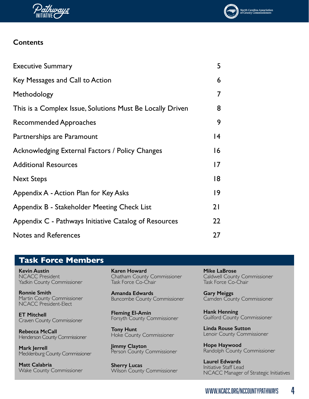



| <b>Executive Summary</b>                                  | 5               |
|-----------------------------------------------------------|-----------------|
| Key Messages and Call to Action                           | 6               |
| Methodology                                               | 7               |
| This is a Complex Issue, Solutions Must Be Locally Driven | 8               |
| <b>Recommended Approaches</b>                             | 9               |
| Partnerships are Paramount                                | $\overline{14}$ |
| Acknowledging External Factors / Policy Changes           | 16              |
| <b>Additional Resources</b>                               | $\overline{17}$ |
| <b>Next Steps</b>                                         | 18              |
| Appendix A - Action Plan for Key Asks                     | 9               |
| Appendix B - Stakeholder Meeting Check List               | 21              |
| Appendix C - Pathways Initiative Catalog of Resources     | 22              |
| <b>Notes and References</b>                               | 27              |

# **Task Force Members**

**Kevin Austin** NCACC President Yadkin County Commissioner

**Ronnie Smith** Martin County Commissioner NCACC President-Elect

**ET Mitchell**  Craven County Commissioner

**Rebecca McCall** Henderson County Commissioner

**Mark Jerrell** Mecklenburg County Commissioner

**Matt Calabria** Wake County Commissioner **Karen Howard** Chatham County Commissioner Task Force Co-Chair

**Amanda Edwards** Buncombe County Commissioner

**Fleming El-Amin** Forsyth County Commissioner

**Tony Hunt**  Hoke County Commissioner

**Jimmy Clayton** Person County Commissioner

**Sherry Lucas** Wilson County Commissioner **Mike LaBrose** Caldwell County Commissioner Task Force Co-Chair

**Gary Meiggs**  Camden County Commissioner

**Hank Henning** Guilford County Commissioner

**Linda Rouse Sutton** Lenoir County Commissioner

**Hope Haywood** Randolph County Commissioner

**Laurel Edwards** Initiative Staff Lead NCACC Manager of Strategic Initiatives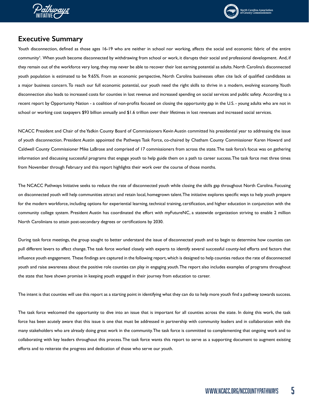<span id="page-4-0"></span>



## **Executive Summary**

Youth disconnection, defined as those ages 16-19 who are neither in school nor working, affects the social and economic fabric of the entire community1. When youth become disconnected by withdrawing from school or work, it disrupts their social and professional development. And, if they remain out of the workforce very long, they may never be able to recover their lost earning potential as adults. North Carolina's disconnected youth population is estimated to be 9.65%. From an economic perspective, North Carolina businesses often cite lack of qualified candidates as a major business concern. To reach our full economic potential, our youth need the right skills to thrive in a modern, evolving economy. Youth disconnection also leads to increased costs for counties in lost revenue and increased spending on social services and public safety. According to a recent report by Opportunity Nation - a coalition of non-profits focused on closing the opportunity gap in the U.S. - young adults who are not in school or working cost taxpayers \$93 billion annually and \$1.6 trillion over their lifetimes in lost revenues and increased social services.

NCACC President and Chair of the Yadkin County Board of Commissioners Kevin Austin committed his presidential year to addressing the issue of youth disconnection. President Austin appointed the Pathways Task Force, co-chaired by Chatham County Commissioner Karen Howard and Caldwell County Commissioner Mike LaBrose and comprised of 17 commissioners from across the state. The task force's focus was on gathering information and discussing successful programs that engage youth to help guide them on a path to career success. The task force met three times from November through February and this report highlights their work over the course of those months.

The NCACC Pathways Initiative seeks to reduce the rate of disconnected youth while closing the skills gap throughout North Carolina. Focusing on disconnected youth will help communities attract and retain local, homegrown talent. The initiative explores specific ways to help youth prepare for the modern workforce, including options for experiential learning, technical training, certification, and higher education in conjunction with the community college system. President Austin has coordinated the effort with myFutureNC, a statewide organization striving to enable 2 million North Carolinians to attain post-secondary degrees or certifications by 2030.

During task force meetings, the group sought to better understand the issue of disconnected youth and to begin to determine how counties can pull different levers to affect change. The task force worked closely with experts to identify several successful county-led efforts and factors that influence youth engagement. These findings are captured in the following report, which is designed to help counties reduce the rate of disconnected youth and raise awareness about the positive role counties can play in engaging youth. The report also includes examples of programs throughout the state that have shown promise in keeping youth engaged in their journey from education to career.

The intent is that counties will use this report as a starting point in identifying what they can do to help more youth find a pathway towards success.

The task force welcomed the opportunity to dive into an issue that is important for all counties across the state. In doing this work, the task force has been acutely aware that this issue is one that must be addressed in partnership with community leaders and in collaboration with the many stakeholders who are already doing great work in the community. The task force is committed to complementing that ongoing work and to collaborating with key leaders throughout this process. The task force wants this report to serve as a supporting document to augment existing efforts and to reiterate the progress and dedication of those who serve our youth.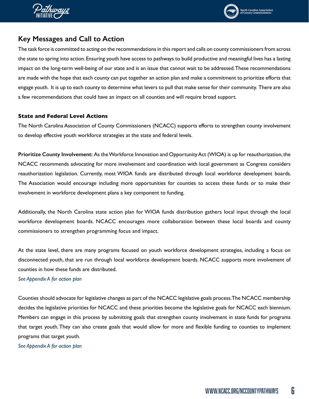<span id="page-5-0"></span>



# **Key Messages and Call to Action**

The task force is committed to acting on the recommendations in this report and calls on county commissioners from across the state to spring into action. Ensuring youth have access to pathways to build productive and meaningful lives has a lasting impact on the long-term well-being of our state and is an issue that cannot wait to be addressed. These recommendations are made with the hope that each county can put together an action plan and make a commitment to prioritize efforts that engage youth. It is up to each county to determine what levers to pull that make sense for their community. There are also a few recommendations that could have an impact on all counties and will require broad support.

#### **State and Federal Level Actions**

The North Carolina Association of County Commissioners (NCACC) supports efforts to strengthen county involvement to develop effective youth workforce strategies at the state and federal levels.

**Prioritize County Involvement:** As the Workforce Innovation and Opportunity Act (WIOA) is up for reauthorization, the NCACC recommends advocating for more involvement and coordination with local government as Congress considers reauthorization legislation. Currently, most WIOA funds are distributed through local workforce development boards. The Association would encourage including more opportunities for counties to access these funds or to make their involvement in workforce development plans a key component to funding.

Additionally, the North Carolina state action plan for WIOA funds distribution gathers local input through the local workforce development boards. NCACC encourages more collaboration between these local boards and county commissioners to strengthen programming focus and impact.

At the state level, there are many programs focused on youth workforce development strategies, including a focus on disconnected youth, that are run through local workforce development boards. NCACC supports more involvement of counties in how these funds are distributed.

#### *See Appendix A for action plan*

Counties should advocate for legislative changes as part of the NCACC legislative goals process. The NCACC membership decides the legislative priorities for NCACC and these priorities become the legislative goals for NCACC each biennium. Members can engage in this process by submitting goals that strengthen county involvement in state funds for programs that target youth. They can also create goals that would allow for more and flexible funding to counties to implement programs that target youth.

*See Appendix A for action plan*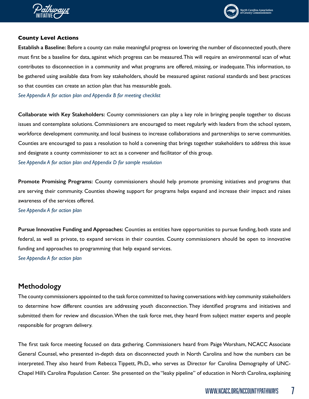<span id="page-6-0"></span>



#### **County Level Actions**

**Establish a Baseline:** Before a county can make meaningful progress on lowering the number of disconnected youth, there must first be a baseline for data, against which progress can be measured. This will require an environmental scan of what contributes to disconnection in a community and what programs are offered, missing, or inadequate. This information, to be gathered using available data from key stakeholders, should be measured against national standards and best practices so that counties can create an action plan that has measurable goals.

*See Appendix A for action plan and Appendix B for meeting checklist* 

**Collaborate with Key Stakeholders:** County commissioners can play a key role in bringing people together to discuss issues and contemplate solutions. Commissioners are encouraged to meet regularly with leaders from the school system, workforce development community, and local business to increase collaborations and partnerships to serve communities. Counties are encouraged to pass a resolution to hold a convening that brings together stakeholders to address this issue and designate a county commissioner to act as a convener and facilitator of this group.

*See Appendix A for action plan and Appendix D for sample resolution* 

**Promote Promising Programs:** County commissioners should help promote promising initiatives and programs that are serving their community. Counties showing support for programs helps expand and increase their impact and raises awareness of the services offered.

*See Appendix A for action plan*

**Pursue Innovative Funding and Approaches:** Counties as entities have opportunities to pursue funding, both state and federal, as well as private, to expand services in their counties. County commissioners should be open to innovative funding and approaches to programming that help expand services.

*See Appendix A for action plan*

### **Methodology**

The county commissioners appointed to the task force committed to having conversations with key community stakeholders to determine how different counties are addressing youth disconnection. They identified programs and initiatives and submitted them for review and discussion. When the task force met, they heard from subject matter experts and people responsible for program delivery.

The first task force meeting focused on data gathering. Commissioners heard from Paige Worsham, NCACC Associate General Counsel, who presented in-depth data on disconnected youth in North Carolina and how the numbers can be interpreted. They also heard from Rebecca Tippett, Ph.D., who serves as Director for Carolina Demography of UNC-Chapel Hill's Carolina Population Center. She presented on the "leaky pipeline" of education in North Carolina, explaining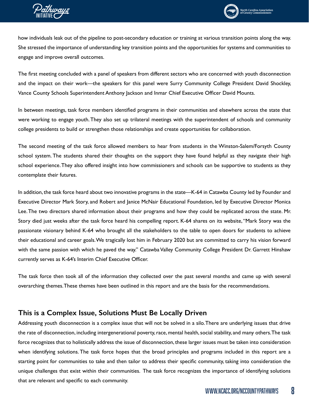<span id="page-7-0"></span>



how individuals leak out of the pipeline to post-secondary education or training at various transition points along the way. She stressed the importance of understanding key transition points and the opportunities for systems and communities to engage and improve overall outcomes.

The first meeting concluded with a panel of speakers from different sectors who are concerned with youth disconnection and the impact on their work—the speakers for this panel were Surry Community College President David Shockley, Vance County Schools Superintendent Anthony Jackson and Inmar Chief Executive Officer David Mounts.

In between meetings, task force members identified programs in their communities and elsewhere across the state that were working to engage youth. They also set up trilateral meetings with the superintendent of schools and community college presidents to build or strengthen those relationships and create opportunities for collaboration.

The second meeting of the task force allowed members to hear from students in the Winston-Salem/Forsyth County school system. The students shared their thoughts on the support they have found helpful as they navigate their high school experience. They also offered insight into how commissioners and schools can be supportive to students as they contemplate their futures.

In addition, the task force heard about two innovative programs in the state—K-64 in Catawba County led by Founder and Executive Director Mark Story, and Robert and Janice McNair Educational Foundation, led by Executive Director Monica Lee. The two directors shared information about their programs and how they could be replicated across the state. Mr. Story died just weeks after the task force heard his compelling report. K-64 shares on its website, "Mark Story was the passionate visionary behind K-64 who brought all the stakeholders to the table to open doors for students to achieve their educational and career goals. We tragically lost him in February 2020 but are committed to carry his vision forward with the same passion with which he paved the way." Catawba Valley Community College President Dr. Garrett Hinshaw currently serves as K-64's Interim Chief Executive Officer.

The task force then took all of the information they collected over the past several months and came up with several overarching themes. These themes have been outlined in this report and are the basis for the recommendations.

# **This is a Complex Issue, Solutions Must Be Locally Driven**

Addressing youth disconnection is a complex issue that will not be solved in a silo. There are underlying issues that drive the rate of disconnection, including intergenerational poverty, race, mental health, social stability, and many others. The task force recognizes that to holistically address the issue of disconnection, these larger issues must be taken into consideration when identifying solutions. The task force hopes that the broad principles and programs included in this report are a starting point for communities to take and then tailor to address their specific community, taking into consideration the unique challenges that exist within their communities. The task force recognizes the importance of identifying solutions that are relevant and specific to each community.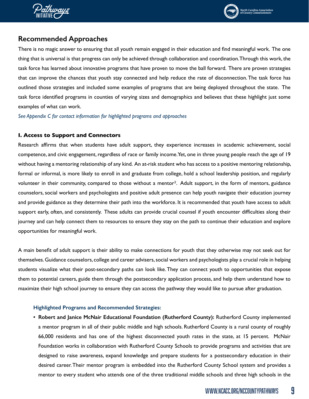<span id="page-8-0"></span>



# **Recommended Approaches**

There is no magic answer to ensuring that all youth remain engaged in their education and find meaningful work. The one thing that is universal is that progress can only be achieved through collaboration and coordination. Through this work, the task force has learned about innovative programs that have proven to move the ball forward. There are proven strategies that can improve the chances that youth stay connected and help reduce the rate of disconnection. The task force has outlined those strategies and included some examples of programs that are being deployed throughout the state. The task force identified programs in counties of varying sizes and demographics and believes that these highlight just some examples of what can work.

*See Appendix C for contact information for highlighted programs and approaches*

#### **I. Access to Support and Connectors**

Research affirms that when students have adult support, they experience increases in academic achievement, social competence, and civic engagement, regardless of race or family income. Yet, one in three young people reach the age of 19 without having a mentoring relationship of any kind. An at-risk student who has access to a positive mentoring relationship, formal or informal, is more likely to enroll in and graduate from college, hold a school leadership position, and regularly volunteer in their community, compared to those without a mentor2. Adult support, in the form of mentors, guidance counselors, social workers and psychologists and positive adult presence can help youth navigate their education journey and provide guidance as they determine their path into the workforce. It is recommended that youth have access to adult support early, often, and consistently. These adults can provide crucial counsel if youth encounter difficulties along their journey and can help connect them to resources to ensure they stay on the path to continue their education and explore opportunities for meaningful work.

A main benefit of adult support is their ability to make connections for youth that they otherwise may not seek out for themselves. Guidance counselors, college and career advisers, social workers and psychologists play a crucial role in helping students visualize what their post-secondary paths can look like. They can connect youth to opportunities that expose them to potential careers, guide them through the postsecondary application process, and help them understand how to maximize their high school journey to ensure they can access the pathway they would like to pursue after graduation.

#### **Highlighted Programs and Recommended Strategies:**

**• Robert and Janice McNair Educational Foundation (Rutherford County):** Rutherford County implemented a mentor program in all of their public middle and high schools. Rutherford County is a rural county of roughly 66,000 residents and has one of the highest disconnected youth rates in the state, at 15 percent. McNair Foundation works in collaboration with Rutherford County Schools to provide programs and activities that are designed to raise awareness, expand knowledge and prepare students for a postsecondary education in their desired career. Their mentor program is embedded into the Rutherford County School system and provides a mentor to every student who attends one of the three traditional middle schools and three high schools in the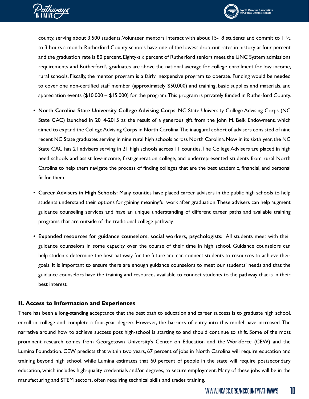



county, serving about 3,500 students. Volunteer mentors interact with about 15-18 students and commit to 1 ½ to 3 hours a month. Rutherford County schools have one of the lowest drop-out rates in history at four percent and the graduation rate is 80 percent. Eighty-six percent of Rutherford seniors meet the UNC System admissions requirements and Rutherford's graduates are above the national average for college enrollment for low income, rural schools. Fiscally, the mentor program is a fairly inexpensive program to operate. Funding would be needed to cover one non-certified staff member (approximately \$50,000) and training, basic supplies and materials, and appreciation events (\$10,000 – \$15,000) for the program. This program is privately funded in Rutherford County.

- **• North Carolina State University College Advising Corps**: NC State University College Advising Corps (NC State CAC) launched in 2014-2015 as the result of a generous gift from the John M. Belk Endowment, which aimed to expand the College Advising Corps in North Carolina. The inaugural cohort of advisers consisted of nine recent NC State graduates serving in nine rural high schools across North Carolina. Now in its sixth year, the NC State CAC has 21 advisers serving in 21 high schools across 11 counties. The College Advisers are placed in high need schools and assist low-income, first-generation college, and underrepresented students from rural North Carolina to help them navigate the process of finding colleges that are the best academic, financial, and personal fit for them.
- **• Career Advisers in High Schools:** Many counties have placed career advisers in the public high schools to help students understand their options for gaining meaningful work after graduation. These advisers can help augment guidance counseling services and have an unique understanding of different career paths and available training programs that are outside of the traditional college pathway.
- **• Expanded resources for guidance counselors, social workers, psychologists:** All students meet with their guidance counselors in some capacity over the course of their time in high school. Guidance counselors can help students determine the best pathway for the future and can connect students to resources to achieve their goals. It is important to ensure there are enough guidance counselors to meet our students' needs and that the guidance counselors have the training and resources available to connect students to the pathway that is in their best interest.

#### **II. Access to Information and Experiences**

There has been a long-standing acceptance that the best path to education and career success is to graduate high school, enroll in college and complete a four-year degree. However, the barriers of entry into this model have increased. The narrative around how to achieve success post high-school is starting to and should continue to shift. Some of the most prominent research comes from Georgetown University's Center on Education and the Workforce (CEW) and the Lumina Foundation. CEW predicts that within two years, 67 percent of jobs in North Carolina will require education and training beyond high school, while Lumina estimates that 60 percent of people in the state will require postsecondary education, which includes high-quality credentials and/or degrees, to secure employment. Many of these jobs will be in the manufacturing and STEM sectors, often requiring technical skills and trades training.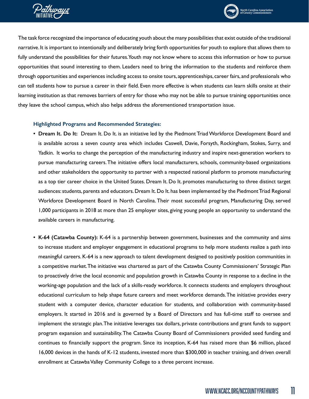



The task force recognized the importance of educating youth about the many possibilities that exist outside of the traditional narrative. It is important to intentionally and deliberately bring forth opportunities for youth to explore that allows them to fully understand the possibilities for their futures. Youth may not know where to access this information or how to pursue opportunities that sound interesting to them. Leaders need to bring the information to the students and reinforce them through opportunities and experiences including access to onsite tours, apprenticeships, career fairs, and professionals who can tell students how to pursue a career in their field. Even more effective is when students can learn skills onsite at their learning institution as that removes barriers of entry for those who may not be able to pursue training opportunities once they leave the school campus, which also helps address the aforementioned transportation issue.

#### **Highlighted Programs and Recommended Strategies:**

- **• Dream It. Do It:** Dream It. Do It. is an initiative led by the Piedmont Triad Workforce Development Board and is available across a seven county area which includes Caswell, Davie, Forsyth, Rockingham, Stokes, Surry, and Yadkin. It works to change the perception of the manufacturing industry and inspire next-generation workers to pursue manufacturing careers. The initiative offers local manufacturers, schools, community-based organizations and other stakeholders the opportunity to partner with a respected national platform to promote manufacturing as a top tier career choice in the United States. Dream It. Do It. promotes manufacturing to three distinct target audiences: students, parents and educators. Dream It. Do It. has been implemented by the Piedmont Triad Regional Workforce Development Board in North Carolina. Their most successful program, Manufacturing Day, served 1,000 participants in 2018 at more than 25 employer sites, giving young people an opportunity to understand the available careers in manufacturing.
- **• K-64 (Catawba County):** K-64 is a partnership between government, businesses and the community and aims to increase student and employer engagement in educational programs to help more students realize a path into meaningful careers. K-64 is a new approach to talent development designed to positively position communities in a competitive market. The initiative was chartered as part of the Catawba County Commissioners' Strategic Plan to proactively drive the local economic and population growth in Catawba County in response to a decline in the working-age population and the lack of a skills-ready workforce. It connects students and employers throughout educational curriculum to help shape future careers and meet workforce demands. The initiative provides every student with a computer device, character education for students, and collaboration with community-based employers. It started in 2016 and is governed by a Board of Directors and has full-time staff to oversee and implement the strategic plan. The initiative leverages tax dollars, private contributions and grant funds to support program expansion and sustainability. The Catawba County Board of Commissioners provided seed funding and continues to financially support the program. Since its inception, K-64 has raised more than \$6 million, placed 16,000 devices in the hands of K-12 students, invested more than \$300,000 in teacher training, and driven overall enrollment at Catawba Valley Community College to a three percent increase.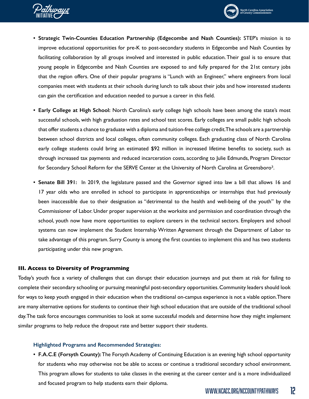



- **• Strategic Twin-Counties Education Partnership (Edgecombe and Nash Counties):** STEP's mission is to improve educational opportunities for pre-K to post-secondary students in Edgecombe and Nash Counties by facilitating collaboration by all groups involved and interested in public education. Their goal is to ensure that young people in Edgecombe and Nash Counties are exposed to and fully prepared for the 21st century jobs that the region offers. One of their popular programs is "Lunch with an Engineer," where engineers from local companies meet with students at their schools during lunch to talk about their jobs and how interested students can gain the certification and education needed to pursue a career in this field.
- **• Early College at High School:** North Carolina's early college high schools have been among the state's most successful schools, with high graduation rates and school test scores. Early colleges are small public high schools that offer students a chance to graduate with a diploma and tuition-free college credit. The schools are a partnership between school districts and local colleges, often community colleges. Each graduating class of North Carolina early college students could bring an estimated \$92 million in increased lifetime benefits to society, such as through increased tax payments and reduced incarceration costs, according to Julie Edmunds, Program Director for Secondary School Reform for the SERVE Center at the University of North Carolina at Greensboro<sup>3</sup>.
- **• Senate Bill 391:** In 2019, the legislature passed and the Governor signed into law a bill that allows 16 and 17 year olds who are enrolled in school to participate in apprenticeships or internships that had previously been inaccessible due to their designation as "detrimental to the health and well-being of the youth" by the Commissioner of Labor. Under proper supervision at the worksite and permission and coordination through the school, youth now have more opportunities to explore careers in the technical sectors. Employers and school systems can now implement the Student Internship Written Agreement through the Department of Labor to take advantage of this program. Surry County is among the first counties to implement this and has two students participating under this new program.

#### **III. Access to Diversity of Programming**

Today's youth face a variety of challenges that can disrupt their education journeys and put them at risk for failing to complete their secondary schooling or pursuing meaningful post-secondary opportunities. Community leaders should look for ways to keep youth engaged in their education when the traditional on-campus experience is not a viable option. There are many alternative options for students to continue their high school education that are outside of the traditional school day. The task force encourages communities to look at some successful models and determine how they might implement similar programs to help reduce the dropout rate and better support their students.

#### **Highlighted Programs and Recommended Strategies:**

**• F.A.C.E (Forsyth County):** The Forsyth Academy of Continuing Education is an evening high school opportunity for students who may otherwise not be able to access or continue a traditional secondary school environment. This program allows for students to take classes in the evening at the career center and is a more individualized and focused program to help students earn their diploma.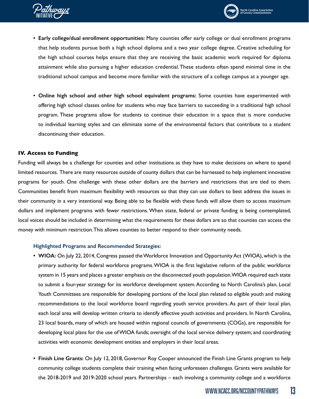



- **• Early college/dual enrollment opportunities:** Many counties offer early college or dual enrollment programs that help students pursue both a high school diploma and a two year college degree. Creative scheduling for the high school courses helps ensure that they are receiving the basic academic work required for diploma attainment while also pursuing a higher education credential. These students often spend minimal time in the traditional school campus and become more familiar with the structure of a college campus at a younger age.
- **• Online high school and other high school equivalent programs:** Some counties have experimented with offering high school classes online for students who may face barriers to succeeding in a traditional high school program. These programs allow for students to continue their education in a space that is more conducive to individual learning styles and can eliminate some of the environmental factors that contribute to a student discontinuing their education.

#### **IV. Access to Funding**

Funding will always be a challenge for counties and other institutions as they have to make decisions on where to spend limited resources. There are many resources outside of county dollars that can be harnessed to help implement innovative programs for youth. One challenge with these other dollars are the barriers and restrictions that are tied to them. Communities benefit from maximum flexibility with resources so that they can use dollars to best address the issues in their community in a very intentional way. Being able to be flexible with these funds will allow them to access maximum dollars and implement programs with fewer restrictions. When state, federal or private funding is being contemplated, local voices should be included in determining what the requirements for these dollars are so that counties can access the money with minimum restriction. This allows counties to better respond to their community needs.

#### **Highlighted Programs and Recommended Strategies:**

- **• WIOA:** On July 22, 2014, Congress passed the Workforce Innovation and Opportunity Act (WIOA), which is the primary authority for federal workforce programs. WIOA is the first legislative reform of the public workforce system in 15 years and places a greater emphasis on the disconnected youth population. WIOA required each state to submit a four-year strategy for its workforce development system. According to North Carolina's plan, Local Youth Committees are responsible for developing portions of the local plan related to eligible youth and making recommendations to the local workforce board regarding youth service providers. As part of their local plan, each local area will develop written criteria to identify effective youth activities and providers. In North Carolina, 23 local boards, many of which are housed within regional councils of governments (COGs), are responsible for developing local plans for the use of WIOA funds; oversight of the local service delivery system; and coordinating activities with economic development entities and employers in their local areas.
- **• Finish Line Grants:** On July 12, 2018, Governor Roy Cooper announced the Finish Line Grants program to help community college students complete their training when facing unforeseen challenges. Grants were available for the 2018-2019 and 2019-2020 school years. Partnerships – each involving a community college and a workforce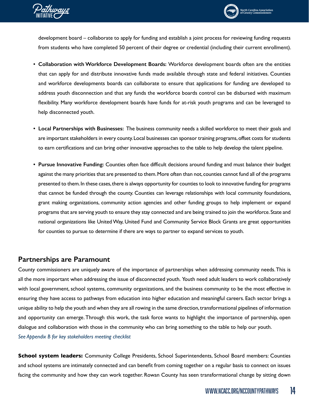<span id="page-13-0"></span>



development board – collaborate to apply for funding and establish a joint process for reviewing funding requests from students who have completed 50 percent of their degree or credential (including their current enrollment).

- **• Collaboration with Workforce Development Boards:** Workforce development boards often are the entities that can apply for and distribute innovative funds made available through state and federal initiatives. Counties and workforce developments boards can collaborate to ensure that applications for funding are developed to address youth disconnection and that any funds the workforce boards control can be disbursed with maximum flexibility. Many workforce development boards have funds for at-risk youth programs and can be leveraged to help disconnected youth.
- **• Local Partnerships with Businesses:** The business community needs a skilled workforce to meet their goals and are important stakeholders in every county. Local businesses can sponsor training programs, offset costs for students to earn certifications and can bring other innovative approaches to the table to help develop the talent pipeline.
- **• Pursue Innovative Funding:** Counties often face difficult decisions around funding and must balance their budget against the many priorities that are presented to them. More often than not, counties cannot fund all of the programs presented to them. In these cases, there is always opportunity for counties to look to innovative funding for programs that cannot be funded through the county. Counties can leverage relationships with local community foundations, grant making organizations, community action agencies and other funding groups to help implement or expand programs that are serving youth to ensure they stay connected and are being trained to join the workforce. State and national organizations like United Way, United Fund and Community Service Block Grants are great opportunities for counties to pursue to determine if there are ways to partner to expand services to youth.

### **Partnerships are Paramount**

County commissioners are uniquely aware of the importance of partnerships when addressing community needs. This is all the more important when addressing the issue of disconnected youth. Youth need adult leaders to work collaboratively with local government, school systems, community organizations, and the business community to be the most effective in ensuring they have access to pathways from education into higher education and meaningful careers. Each sector brings a unique ability to help the youth and when they are all rowing in the same direction, transformational pipelines of information and opportunity can emerge. Through this work, the task force wants to highlight the importance of partnership, open dialogue and collaboration with those in the community who can bring something to the table to help our youth. *See Appendix B for key stakeholders meeting checklist*

**School system leaders:** Community College Presidents, School Superintendents, School Board members: Counties and school systems are intimately connected and can benefit from coming together on a regular basis to connect on issues facing the community and how they can work together. Rowan County has seen transformational change by sitting down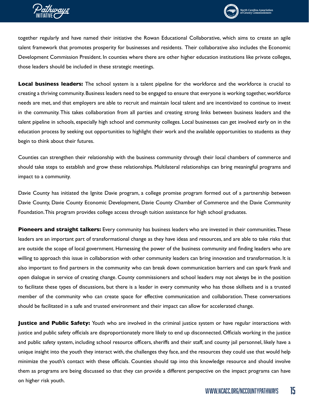



together regularly and have named their initiative the Rowan Educational Collaborative, which aims to create an agile talent framework that promotes prosperity for businesses and residents. Their collaborative also includes the Economic Development Commission President. In counties where there are other higher education institutions like private colleges, those leaders should be included in these strategic meetings.

**Local business leaders:** The school system is a talent pipeline for the workforce and the workforce is crucial to creating a thriving community. Business leaders need to be engaged to ensure that everyone is working together, workforce needs are met, and that employers are able to recruit and maintain local talent and are incentivized to continue to invest in the community. This takes collaboration from all parties and creating strong links between business leaders and the talent pipeline in schools, especially high school and community colleges. Local businesses can get involved early on in the education process by seeking out opportunities to highlight their work and the available opportunities to students as they begin to think about their futures.

Counties can strengthen their relationship with the business community through their local chambers of commerce and should take steps to establish and grow these relationships. Multilateral relationships can bring meaningful programs and impact to a community.

Davie County has initiated the Ignite Davie program, a college promise program formed out of a partnership between Davie County, Davie County Economic Development, Davie County Chamber of Commerce and the Davie Community Foundation. This program provides college access through tuition assistance for high school graduates.

**Pioneers and straight talkers:** Every community has business leaders who are invested in their communities. These leaders are an important part of transformational change as they have ideas and resources, and are able to take risks that are outside the scope of local government. Harnessing the power of the business community and finding leaders who are willing to approach this issue in collaboration with other community leaders can bring innovation and transformation. It is also important to find partners in the community who can break down communication barriers and can spark frank and open dialogue in service of creating change. County commissioners and school leaders may not always be in the position to facilitate these types of discussions, but there is a leader in every community who has those skillsets and is a trusted member of the community who can create space for effective communication and collaboration. These conversations should be facilitated in a safe and trusted environment and their impact can allow for accelerated change.

**Justice and Public Safety:** Youth who are involved in the criminal justice system or have regular interactions with justice and public safety officials are disproportionately more likely to end up disconnected. Officials working in the justice and public safety system, including school resource officers, sheriffs and their staff, and county jail personnel, likely have a unique insight into the youth they interact with, the challenges they face, and the resources they could use that would help minimize the youth's contact with these officials. Counties should tap into this knowledge resource and should involve them as programs are being discussed so that they can provide a different perspective on the impact programs can have on higher risk youth.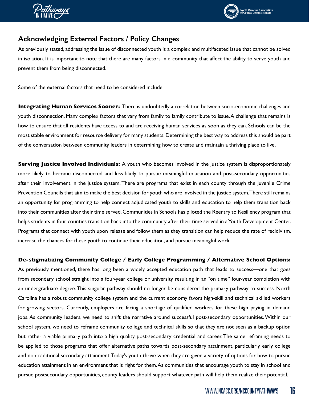<span id="page-15-0"></span>



# **Acknowledging External Factors / Policy Changes**

As previously stated, addressing the issue of disconnected youth is a complex and multifaceted issue that cannot be solved in isolation. It is important to note that there are many factors in a community that affect the ability to serve youth and prevent them from being disconnected.

Some of the external factors that need to be considered include:

**Integrating Human Services Sooner:** There is undoubtedly a correlation between socio-economic challenges and youth disconnection. Many complex factors that vary from family to family contribute to issue. A challenge that remains is how to ensure that all residents have access to and are receiving human services as soon as they can. Schools can be the most stable environment for resource delivery for many students. Determining the best way to address this should be part of the conversation between community leaders in determining how to create and maintain a thriving place to live.

**Serving Justice Involved Individuals:** A youth who becomes involved in the justice system is disproportionately more likely to become disconnected and less likely to pursue meaningful education and post-secondary opportunities after their involvement in the justice system. There are programs that exist in each county through the Juvenile Crime Prevention Councils that aim to make the best decision for youth who are involved in the justice system. There still remains an opportunity for programming to help connect adjudicated youth to skills and education to help them transition back into their communities after their time served. Communities in Schools has piloted the Reentry to Resiliency program that helps students in four counties transition back into the community after their time served in a Youth Development Center. Programs that connect with youth upon release and follow them as they transition can help reduce the rate of recidivism, increase the chances for these youth to continue their education, and pursue meaningful work.

#### **De-stigmatizing Community College / Early College Programming / Alternative School Options:**

As previously mentioned, there has long been a widely accepted education path that leads to success—one that goes from secondary school straight into a four-year college or university resulting in an "on time" four-year completion with an undergraduate degree. This singular pathway should no longer be considered the primary pathway to success. North Carolina has a robust community college system and the current economy favors high-skill and technical skilled workers for growing sectors. Currently, employers are facing a shortage of qualified workers for these high paying in demand jobs. As community leaders, we need to shift the narrative around successful post-secondary opportunities. Within our school system, we need to reframe community college and technical skills so that they are not seen as a backup option but rather a viable primary path into a high quality post-secondary credential and career. The same reframing needs to be applied to those programs that offer alternative paths towards post-secondary attainment, particularly early college and nontraditional secondary attainment. Today's youth thrive when they are given a variety of options for how to pursue education attainment in an environment that is right for them. As communities that encourage youth to stay in school and pursue postsecondary opportunities, county leaders should support whatever path will help them realize their potential.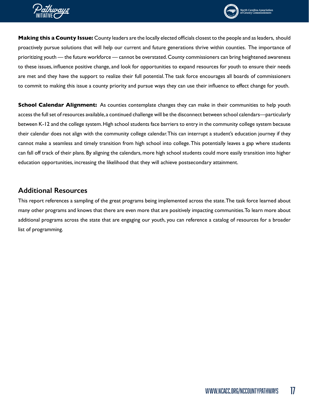<span id="page-16-0"></span>



**Making this a County Issue:** County leaders are the locally elected officials closest to the people and as leaders, should proactively pursue solutions that will help our current and future generations thrive within counties. The importance of prioritizing youth — the future workforce — cannot be overstated. County commissioners can bring heightened awareness to these issues, influence positive change, and look for opportunities to expand resources for youth to ensure their needs are met and they have the support to realize their full potential. The task force encourages all boards of commissioners to commit to making this issue a county priority and pursue ways they can use their influence to effect change for youth.

**School Calendar Alignment:** As counties contemplate changes they can make in their communities to help youth access the full set of resources available, a continued challenge will be the disconnect between school calendars—particularly between K-12 and the college system. High school students face barriers to entry in the community college system because their calendar does not align with the community college calendar. This can interrupt a student's education journey if they cannot make a seamless and timely transition from high school into college. This potentially leaves a gap where students can fall off track of their plans. By aligning the calendars, more high school students could more easily transition into higher education opportunities, increasing the likelihood that they will achieve postsecondary attainment.

# **Additional Resources**

This report references a sampling of the great programs being implemented across the state. The task force learned about many other programs and knows that there are even more that are positively impacting communities. To learn more about additional programs across the state that are engaging our youth, you can reference a catalog of resources for a broader list of programming.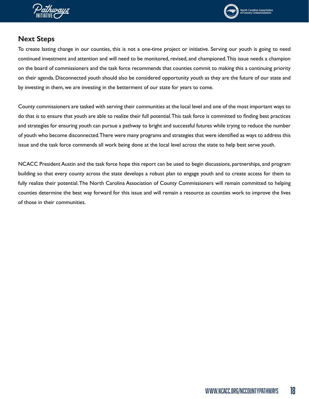<span id="page-17-0"></span>



# **Next Steps**

To create lasting change in our counties, this is not a one-time project or initiative. Serving our youth is going to need continued investment and attention and will need to be monitored, revised, and championed. This issue needs a champion on the board of commissioners and the task force recommends that counties commit to making this a continuing priority on their agenda. Disconnected youth should also be considered opportunity youth as they are the future of our state and by investing in them, we are investing in the betterment of our state for years to come.

County commissioners are tasked with serving their communities at the local level and one of the most important ways to do that is to ensure that youth are able to realize their full potential. This task force is committed to finding best practices and strategies for ensuring youth can pursue a pathway to bright and successful futures while trying to reduce the number of youth who become disconnected. There were many programs and strategies that were identified as ways to address this issue and the task force commends all work being done at the local level across the state to help best serve youth.

NCACC President Austin and the task force hope this report can be used to begin discussions, partnerships, and program building so that every county across the state develops a robust plan to engage youth and to create access for them to fully realize their potential. The North Carolina Association of County Commissioners will remain committed to helping counties determine the best way forward for this issue and will remain a resource as counties work to improve the lives of those in their communities.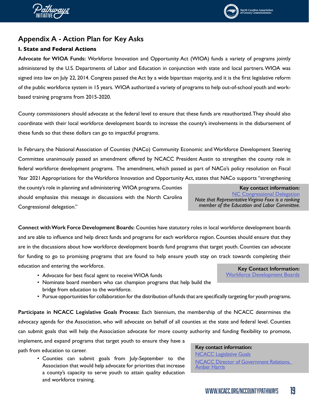<span id="page-18-0"></span>



# North Carolina Association<br>of County Commissioners

# **Appendix A - Action Plan for Key Asks**

### **I. State and Federal Actions**

**Advocate for WIOA Funds:** Workforce Innovation and Opportunity Act (WIOA) funds a variety of programs jointly administered by the U.S. Departments of Labor and Education in conjunction with state and local partners. WIOA was signed into law on July 22, 2014. Congress passed the Act by a wide bipartisan majority, and it is the first legislative reform of the public workforce system in 15 years. WIOA authorized a variety of programs to help out-of-school youth and workbased training programs from 2015-2020.

County commissioners should advocate at the federal level to ensure that these funds are reauthorized. They should also coordinate with their local workforce development boards to increase the county's involvements in the disbursement of these funds so that these dollars can go to impactful programs.

In February, the National Association of Counties (NACo) Community Economic and Workforce Development Steering Committee unanimously passed an amendment offered by NCACC President Austin to strengthen the county role in federal workforce development programs. The amendment, which passed as part of NACo's policy resolution on Fiscal Year 2021 Appropriations for the Workforce Innovation and Opportunity Act, states that NACo supports "strengthening

the county's role in planning and administering WIOA programs. Counties should emphasize this message in discussions with the North Carolina Congressional delegation."

**[NC Congressional Delegation](https://www.ncacc.org/DocumentCenter/View/4495/CongressionalDelegationSheet2019)** *Note that Representative Virginia Foxx is a ranking member of the Education and Labor Committee.* 

**Connect with Work Force Development Boards:** Counties have statutory roles in local workforce development boards and are able to influence and help direct funds and programs for each workforce region. Counties should ensure that they are in the discussions about how workforce development boards fund programs that target youth. Counties can advocate for funding to go to promising programs that are found to help ensure youth stay on track towards completing their education and entering the workforce. **Key Contact Information:**

- Advocate for best fiscal agent to receive WIOA funds
- Nominate board members who can champion programs that help build the bridge from education to the workforce.
- Pursue opportunities for collaboration for the distribution of funds that are specifically targeting for youth programs.

**Participate in NCACC Legislative Goals Process:** Each biennium, the membership of the NCACC determines the advocacy agenda for the Association, who will advocate on behalf of all counties at the state and federal level. Counties can submit goals that will help the Association advocate for more county authority and funding flexibility to promote, implement, and expand programs that target youth to ensure they have a **Key contact information:**

path from education to career.

• Counties can submit goals from July-September to the Association that would help advocate for priorities that increase a county's capacity to serve youth to attain quality education and workforce training.

**[NCACC Legislative Goals](https://www.ncacc.org/598/Legislative-Goals-Background)** [NCACC Director of Government](mailto:NCACC%20Director%20of%20Government%20Relations%2C%20%20Amber%20Harris?subject=) Relations, [Amber Harris](mailto:NCACC%20Director%20of%20Government%20Relations%2C%20%20Amber%20Harris?subject=)

**Key contact information:**

[Workforce Development Boards](https://www.ncawdb.org/local-boards/)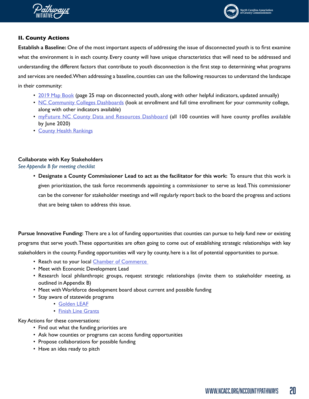



#### **II. County Actions**

**Establish a Baseline:** One of the most important aspects of addressing the issue of disconnected youth is to first examine what the environment is in each county. Every county will have unique characteristics that will need to be addressed and understanding the different factors that contribute to youth disconnection is the first step to determining what programs and services are needed. When addressing a baseline, counties can use the following resources to understand the landscape in their community:

- [2019 Map Book](http://www.ncacc.org/DocumentCenter/View/4871/2019MapBook) (page 25 map on disconnected youth, along with other helpful indicators, updated annually)
- [NC Community Colleges Dashboards](https://www.nccommunitycolleges.edu/analytics/dashboards) (look at enrollment and full time enrollment for your community college, along with other indicators available)
- [myFuture NC County Data and Resources Dashboard](https://dashboard.myfuturenc.org/county-data-and-resources/) (all 100 counties will have county profiles available by June 2020)
- [County Health Rankings](https://www.countyhealthrankings.org/app/north-carolina/2019/downloads)

### **Collaborate with Key Stakeholders**

*See Appendix B for meeting checklist*

**• Designate a County Commissioner Lead to act as the facilitator for this work:** To ensure that this work is given prioritization, the task force recommends appointing a commissioner to serve as lead. This commissioner can be the convener for stakeholder meetings and will regularly report back to the board the progress and actions that are being taken to address this issue.

**Pursue Innovative Funding:** There are a lot of funding opportunities that counties can pursue to help fund new or existing programs that serve youth. These opportunities are often going to come out of establishing strategic relationships with key stakeholders in the county. Funding opportunities will vary by county, here is a list of potential opportunities to pursue.

- Reach out to your local [Chamber of Commerce](https://ncchamber.com/membership/local-chambers/)
- Meet with Economic Development Lead
- Research local philanthropic groups, request strategic relationships (invite them to stakeholder meeting, as outlined in Appendix B)
- Meet with Workforce development board about current and possible funding
- Stay aware of statewide programs
	- [Golden LEAF](https://www.goldenleaf.org/grant-seekers/)
	- [Finish Line Grants](https://www.nccommerce.com/jobs-training/workforce-professionals-tools-resources/finish-line-grants)

Key Actions for these conversations:

- Find out what the funding priorities are
- Ask how counties or programs can access funding opportunities
- Propose collaborations for possible funding
- Have an idea ready to pitch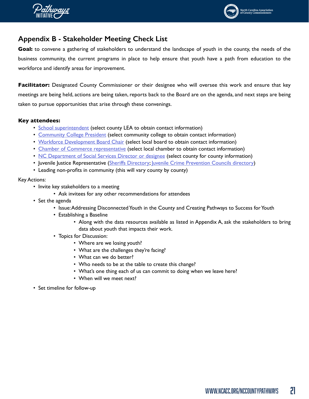<span id="page-20-0"></span>



# **Appendix B - Stakeholder Meeting Check List**

**Goal:** to convene a gathering of stakeholders to understand the landscape of youth in the county, the needs of the business community, the current programs in place to help ensure that youth have a path from education to the workforce and identify areas for improvement.

**Facilitator:** Designated County Commissioner or their designee who will oversee this work and ensure that key meetings are being held, actions are being taken, reports back to the Board are on the agenda, and next steps are being taken to pursue opportunities that arise through these convenings.

#### **Key attendees:**

- [School superintendent](http://apps.schools.nc.gov/ords/f?p=125:1) (select county LEA to obtain contact information)
- [Community College President](https://www.nccommunitycolleges.edu/about-us/main-campuses) (select community college to obtain contact information)
- [Workforce Development Board Chair](https://www.ncawdb.org/local-boards/) (select local board to obtain contact information)
- [Chamber of Commerce representative](https://ncchamber.com/membership/local-chambers/) (select local chamber to obtain contact information)
- [NC Department of Social Services Director or designee](https://www.ncdhhs.gov/divisions/social-services/local-dss-directory) (select county for county information)
- Juvenile Justice Representative ([Sheriffs Directory](https://ncsheriffs.org/sheriffs); [Juvenile Crime Prevention Councils directory\)](https://files.nc.gov/ncdps/documents/files/JCPC-Chairperson-Directory-October-2019.pdf)
- Leading non-profits in community (this will vary county by county)

#### Key Actions:

- Invite key stakeholders to a meeting
	- Ask invitees for any other recommendations for attendees
- Set the agenda
	- Issue: Addressing Disconnected Youth in the County and Creating Pathways to Success for Youth
	- Establishing a Baseline
		- Along with the data resources available as listed in Appendix A, ask the stakeholders to bring data about youth that impacts their work.
	- Topics for Discussion:
		- Where are we losing youth?
		- What are the challenges they're facing?
		- What can we do better?
		- Who needs to be at the table to create this change?
		- What's one thing each of us can commit to doing when we leave here?
		- When will we meet next?
- Set timeline for follow-up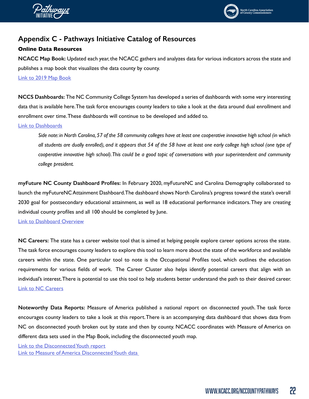<span id="page-21-0"></span>



# **Appendix C - Pathways Initiative Catalog of Resources**

#### **Online Data Resources**

**NCACC Map Book:** Updated each year, the NCACC gathers and analyzes data for various indicators across the state and publishes a map book that visualizes the data county by county.

[Link to 2019 Map Book](http://www.ncacc.org/794/2019-County-Map-Book)

**NCCS Dashboards:** The NC Community College System has developed a series of dashboards with some very interesting data that is available here. The task force encourages county leaders to take a look at the data around dual enrollment and enrollment over time. These dashboards will continue to be developed and added to.

#### [Link to Dashboards](https://www.nccommunitycolleges.edu/analytics/dashboards)

*Side note: in North Carolina, 57 of the 58 community colleges have at least one cooperative innovative high school (in which all students are dually enrolled), and it appears that 54 of the 58 have at least one early college high school (one type of cooperative innovative high school). This could be a good topic of conversations with your superintendent and community college president.* 

**myFuture NC County Dashboard Profiles:** In February 2020, myFutureNC and Carolina Demography collaborated to launch the myFutureNC Attainment Dashboard. The dashboard shows North Carolina's progress toward the state's overall 2030 goal for postsecondary educational attainment, as well as 18 educational performance indicators. They are creating individual county profiles and all 100 should be completed by June.

[Link to Dashboard Overview](https://dashboard.myfuturenc.org/county-data-and-resources/)

**NC Careers:** The state has a career website tool that is aimed at helping people explore career options across the state. The task force encourages county leaders to explore this tool to learn more about the state of the workforce and available careers within the state. One particular tool to note is the Occupational Profiles tool, which outlines the education requirements for various fields of work. The Career Cluster also helps identify potential careers that align with an individual's interest. There is potential to use this tool to help students better understand the path to their desired career. [Link to NC Careers](https://www.nccareers.org/)

**Noteworthy Data Reports:** Measure of America published a national report on disconnected youth. The task force encourages county leaders to take a look at this report. There is an accompanying data dashboard that shows data from NC on disconnected youth broken out by state and then by county. NCACC coordinates with Measure of America on different data sets used in the Map Book, including the disconnected youth map.

[Link to the Disconnected Youth report](http://measureofamerica.org/disconnected-youth/) Link to Measure of America Disconnected Youth data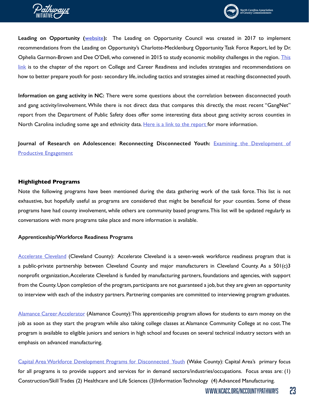



**Leading on Opportunity [\(website](https://www.leadingonopportunity.org/)):** The Leading on Opportunity Council was created in 2017 to implement recommendations from the Leading on Opportunity's Charlotte-Mecklenburg Opportunity Task Force Report, led by Dr. Ophelia Garmon-Brown and Dee O'Dell, who convened in 2015 to study economic mobility challenges in the region. This [link](https://www.leadingonopportunity.org/report/chapter-4) is to the chapter of the report on College and Career Readiness and includes strategies and recommendations on how to better prepare youth for post- secondary life, including tactics and strategies aimed at reaching disconnected youth.

**Information on gang activity in NC:** There were some questions about the correlation between disconnected youth and gang activity/involvement. While there is not direct data that compares this directly, the most recent "GangNet" report from the Department of Public Safety does offer some interesting data about gang activity across counties in North Carolina including some age and ethnicity data. [Here is a link to the report](https://ncacc.sharefile.com/d-s97400d91b1b4eb0a) for more information.

**Journal of Research on Adolescence: Reconnecting Disconnected Youth:** [Examining the Development of](https://ncacc.sharefile.com/share/view/s7becc7d28f244c38) [Productive Engagement](https://ncacc.sharefile.com/share/view/s7becc7d28f244c38)

#### **Highlighted Programs**

Note the following programs have been mentioned during the data gathering work of the task force. This list is not exhaustive, but hopefully useful as programs are considered that might be beneficial for your counties. Some of these programs have had county involvement, while others are community based programs. This list will be updated regularly as conversations with more programs take place and more information is available.

#### **Apprenticeship/Workforce Readiness Programs**

[Accelerate Cleveland](https://www.clevelandcounty.com/main/news_detail_T12_R137.php) (Cleveland County): Accelerate Cleveland is a seven-week workforce readiness program that is a public-private partnership between Cleveland County and major manufacturers in Cleveland County. As a 501(c)3 nonprofit organization, Accelerate Cleveland is funded by manufacturing partners, foundations and agencies, with support from the County. Upon completion of the program, participants are not guaranteed a job, but they are given an opportunity to interview with each of the industry partners. Partnering companies are committed to interviewing program graduates.

[Alamance Career Accelerator](https://alamancecap.com/) (Alamance County): This apprenticeship program allows for students to earn money on the job as soon as they start the program while also taking college classes at Alamance Community College at no cost. The program is available to eligible juniors and seniors in high school and focuses on several technical industry sectors with an emphasis on advanced manufacturing.

[Capital Area Workforce Development Programs for Disconnected Youth](https://ncacc.sharefile.com/d-s3b0010e9f4d43dc8) (Wake County): Capital Area's primary focus for all programs is to provide support and services for in demand sectors/industries/occupations. Focus areas are: (1) Construction/Skill Trades (2) Healthcare and Life Sciences (3)Information Technology (4) Advanced Manufacturing.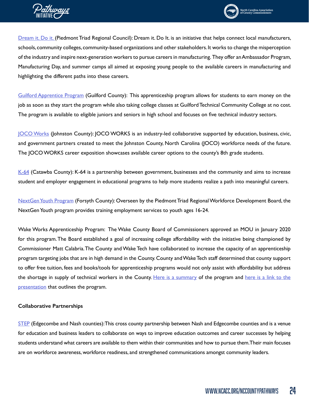



[Dream it. Do it.](https://www.ptrc.org/services/workforce-development/dream-it-do-it) (Piedmont Triad Regional Council): Dream it. Do lt. is an initiative that helps connect local manufacturers, schools, community colleges, community-based organizations and other stakeholders. It works to change the misperception of the industry and inspire next-generation workers to pursue careers in manufacturing. They offer an Ambassador Program, Manufacturing Day, and summer camps all aimed at exposing young people to the available careers in manufacturing and highlighting the different paths into these careers.

[Guilford Apprentice Program](https://gapnc.org/) (Guilford County): This apprenticeship program allows for students to earn money on the job as soon as they start the program while also taking college classes at Guilford Technical Community College at no cost. The program is available to eligible juniors and seniors in high school and focuses on five technical industry sectors.

[JOCO Works](http://www.johnstoncc.edu/events/jocoworks/) (Johnston County): JOCO WORKS is an industry-led collaborative supported by education, business, civic, and government partners created to meet the Johnston County, North Carolina (JOCO) workforce needs of the future. The JOCO WORKS career exposition showcases available career options to the county's 8th grade students.

[K-64](http://www.k-64learning.com/#about) (Catawba County): K-64 is a partnership between government, businesses and the community and aims to increase student and employer engagement in educational programs to help more students realize a path into meaningful careers.

[NextGen Youth Program](https://www.ptrc.org/services/workforce-development/nextgen-youth-services) (Forsyth County): Overseen by the Piedmont Triad Regional Workforce Development Board, the NextGen Youth program provides training employment services to youth ages 16-24.

Wake Works Apprenticeship Program: The Wake County Board of Commissioners approved an MOU in January 2020 for this program. The Board established a goal of increasing college affordability with the initiative being championed by Commissioner Matt Calabria. The County and Wake Tech have collaborated to increase the capacity of an apprenticeship program targeting jobs that are in high demand in the County. County and Wake Tech staff determined that county support to offer free tuition, fees and books/tools for apprenticeship programs would not only assist with affordability but address the shortage in supply of technical workers in the County. [Here is a summary](https://www.waketech.edu/sites/default/files/program-page-files/Wake%20Works%20Flyer.pdf) of the program and here is a link to the [presentation](https://www.waketech.edu/sites/default/files/page-file-uploads/WakeWorks%20Orientation%20-%20Web%20Deck%20PDF.pdf) that outlines the program.

#### **Collaborative Partnerships**

[STEP](https://www.step-partnership.org/our-mission-goals) (Edgecombe and Nash counties): This cross county partnership between Nash and Edgecombe counties and is a venue for education and business leaders to collaborate on ways to improve education outcomes and career successes by helping students understand what careers are available to them within their communities and how to pursue them. Their main focuses are on workforce awareness, workforce readiness, and strengthened communications amongst community leaders.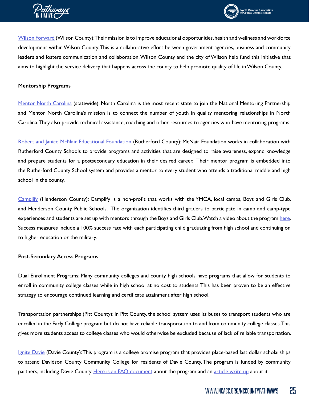



[Wilson Forward](https://wilsonforward.org/) (Wilson County): Their mission is to improve educational opportunities, health and wellness and workforce development within Wilson County. This is a collaborative effort between government agencies, business and community leaders and fosters communication and collaboration. Wilson County and the city of Wilson help fund this initiative that aims to highlight the service delivery that happens across the county to help promote quality of life in Wilson County.

#### **Mentorship Programs**

[Mentor North Carolina](https://www.mentoring.org/mentor-north-carolina/) (statewide): North Carolina is the most recent state to join the National Mentoring Partnership and Mentor North Carolina's mission is to connect the number of youth in quality mentoring relationships in North Carolina. They also provide technical assistance, coaching and other resources to agencies who have mentoring programs.

[Robert and Janice McNair Educational Foundation](https://www.mcnairedfoundation.org/about-us) (Rutherford County): McNair Foundation works in collaboration with Rutherford County Schools to provide programs and activities that are designed to raise awareness, expand knowledge and prepare students for a postsecondary education in their desired career. Their mentor program is embedded into the Rutherford County School system and provides a mentor to every student who attends a traditional middle and high school in the county.

[Camplify](http://www.camplify.com/) (Henderson County): Camplify is a non-profit that works with the YMCA, local camps, Boys and Girls Club, and Henderson County Public Schools. The organization identifies third graders to participate in camp and camp-type experiences and students are set up with mentors through the Boys and Girls Club. Watch a video about the program [here](https://www.youtube.com/watch?v=TmwY83RwZDE&fbclid=IwAR1wkpfvhMeN45ImnB3AGQcTeZTWEe0k2M4CQJAX_8HSy323JIR5iUtf4HM). Success measures include a 100% success rate with each participating child graduating from high school and continuing on to higher education or the military.

#### **Post-Secondary Access Programs**

Dual Enrollment Programs: Many community colleges and county high schools have programs that allow for students to enroll in community college classes while in high school at no cost to students. This has been proven to be an effective strategy to encourage continued learning and certificate attainment after high school.

Transportation partnerships (Pitt County): In Pitt County, the school system uses its buses to transport students who are enrolled in the Early College program but do not have reliable transportation to and from community college classes. This gives more students access to college classes who would otherwise be excluded because of lack of reliable transportation.

[Ignite Davie](https://ignitedavie.com/) (Davie County): This program is a college promise program that provides place-based last dollar scholarships to attend Davidson County Community College for residents of Davie County. The program is funded by community partners, including Davie County. [Here is an FAQ document](https://ncacc.sharefile.com/d-se9ca2d807004f199) about the program and an [article write up](https://ignitedavie.com/wp-content/uploads/2019/08/IGNITEDavie.pdf) about it.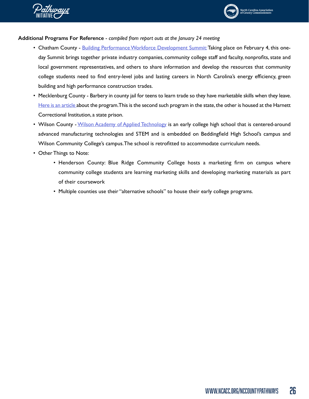



- Chatham County [Building Performance Workforce Development Summit:](http://buildingnc.org/event/2020-workforce-development-summit/) Taking place on February 4, this oneday Summit brings together private industry companies, community college staff and faculty, nonprofits, state and local government representatives, and others to share information and develop the resources that community college students need to find entry-level jobs and lasting careers in North Carolina's energy efficiency, green building and high performance construction trades.
- Mecklenburg County Barbery in county jail for teens to learn trade so they have marketable skills when they leave. [Here is an article](https://www.charlotteobserver.com/news/local/crime/article228600624.html) about the program. This is the second such program in the state, the other is housed at the Harnett Correctional Institution, a state prison.
- Wilson County [Wilson Academy of Applied Technology](https://waat.wilsonschoolsnc.net/apps/pages/index.jsp?uREC_ID=1216713&type=d&pREC_ID=1451726) is an early college high school that is centered-around advanced manufacturing technologies and STEM and is embedded on Beddingfield High School's campus and Wilson Community College's campus. The school is retrofitted to accommodate curriculum needs.
- Other Things to Note:
	- Henderson County: Blue Ridge Community College hosts a marketing firm on campus where community college students are learning marketing skills and developing marketing materials as part of their coursework
	- Multiple counties use their "alternative schools" to house their early college programs.